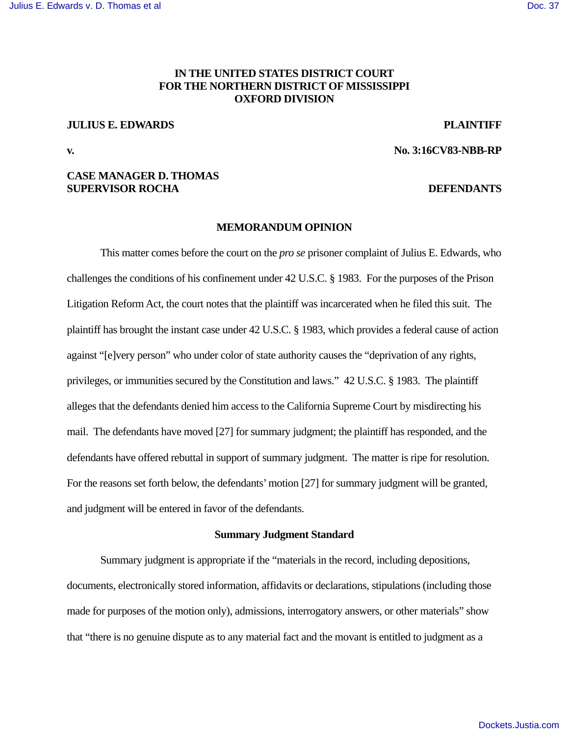# **IN THE UNITED STATES DISTRICT COURT FOR THE NORTHERN DISTRICT OF MISSISSIPPI OXFORD DIVISION**

## **JULIUS E. EDWARDS PLAINTIFF**

**v. No. 3:16CV83-NBB-RP** 

## **CASE MANAGER D. THOMAS SUPERVISOR ROCHA** DEFENDANTS

#### **MEMORANDUM OPINION**

 This matter comes before the court on the *pro se* prisoner complaint of Julius E. Edwards, who challenges the conditions of his confinement under 42 U.S.C. § 1983. For the purposes of the Prison Litigation Reform Act, the court notes that the plaintiff was incarcerated when he filed this suit. The plaintiff has brought the instant case under 42 U.S.C. § 1983, which provides a federal cause of action against "[e]very person" who under color of state authority causes the "deprivation of any rights, privileges, or immunities secured by the Constitution and laws." 42 U.S.C. § 1983. The plaintiff alleges that the defendants denied him access to the California Supreme Court by misdirecting his mail. The defendants have moved [27] for summary judgment; the plaintiff has responded, and the defendants have offered rebuttal in support of summary judgment. The matter is ripe for resolution. For the reasons set forth below, the defendants' motion [27] for summary judgment will be granted, and judgment will be entered in favor of the defendants.

#### **Summary Judgment Standard**

Summary judgment is appropriate if the "materials in the record, including depositions, documents, electronically stored information, affidavits or declarations, stipulations (including those made for purposes of the motion only), admissions, interrogatory answers, or other materials" show that "there is no genuine dispute as to any material fact and the movant is entitled to judgment as a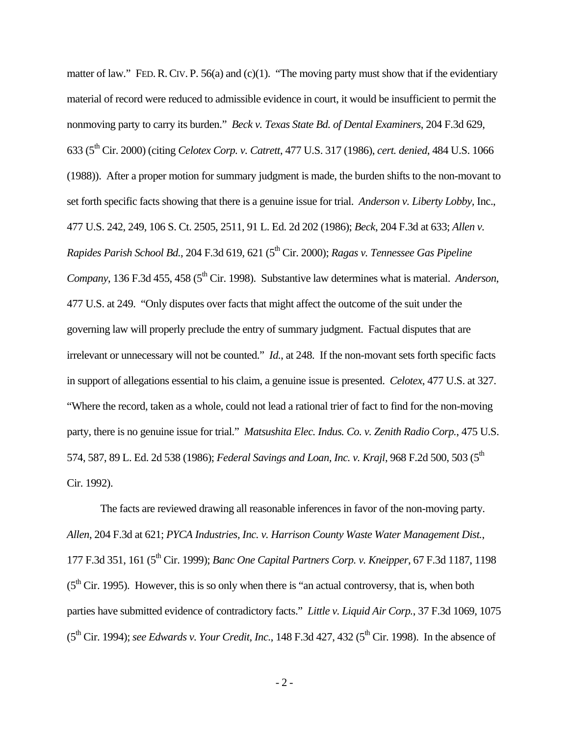matter of law." FED. R. CIV. P. 56(a) and (c)(1). "The moving party must show that if the evidentiary material of record were reduced to admissible evidence in court, it would be insufficient to permit the nonmoving party to carry its burden." *Beck v. Texas State Bd. of Dental Examiners*, 204 F.3d 629, 633 (5th Cir. 2000) (citing *Celotex Corp. v. Catrett*, 477 U.S. 317 (1986), *cert. denied*, 484 U.S. 1066 (1988)). After a proper motion for summary judgment is made, the burden shifts to the non-movant to set forth specific facts showing that there is a genuine issue for trial. *Anderson v. Liberty Lobby,* Inc., 477 U.S. 242, 249, 106 S. Ct. 2505, 2511, 91 L. Ed. 2d 202 (1986); *Beck*, 204 F.3d at 633; *Allen v. Rapides Parish School Bd.*, 204 F.3d 619, 621 (5th Cir. 2000); *Ragas v. Tennessee Gas Pipeline Company*, 136 F.3d 455, 458 (5<sup>th</sup> Cir. 1998). Substantive law determines what is material. *Anderson*, 477 U.S. at 249. "Only disputes over facts that might affect the outcome of the suit under the governing law will properly preclude the entry of summary judgment. Factual disputes that are irrelevant or unnecessary will not be counted." *Id.*, at 248. If the non-movant sets forth specific facts in support of allegations essential to his claim, a genuine issue is presented. *Celotex*, 477 U.S. at 327. "Where the record, taken as a whole, could not lead a rational trier of fact to find for the non-moving party, there is no genuine issue for trial." *Matsushita Elec. Indus. Co. v. Zenith Radio Corp.*, 475 U.S. 574, 587, 89 L. Ed. 2d 538 (1986); *Federal Savings and Loan, Inc. v. Krajl*, 968 F.2d 500, 503 (5<sup>th</sup> Cir. 1992).

The facts are reviewed drawing all reasonable inferences in favor of the non-moving party. *Allen*, 204 F.3d at 621; *PYCA Industries, Inc. v. Harrison County Waste Water Management Dist.*, 177 F.3d 351, 161 (5th Cir. 1999); *Banc One Capital Partners Corp. v. Kneipper*, 67 F.3d 1187, 1198  $(5<sup>th</sup> Cir. 1995)$ . However, this is so only when there is "an actual controversy, that is, when both parties have submitted evidence of contradictory facts." *Little v. Liquid Air Corp.*, 37 F.3d 1069, 1075 (5th Cir. 1994); *see Edwards v. Your Credit, Inc.*, 148 F.3d 427, 432 (5th Cir. 1998). In the absence of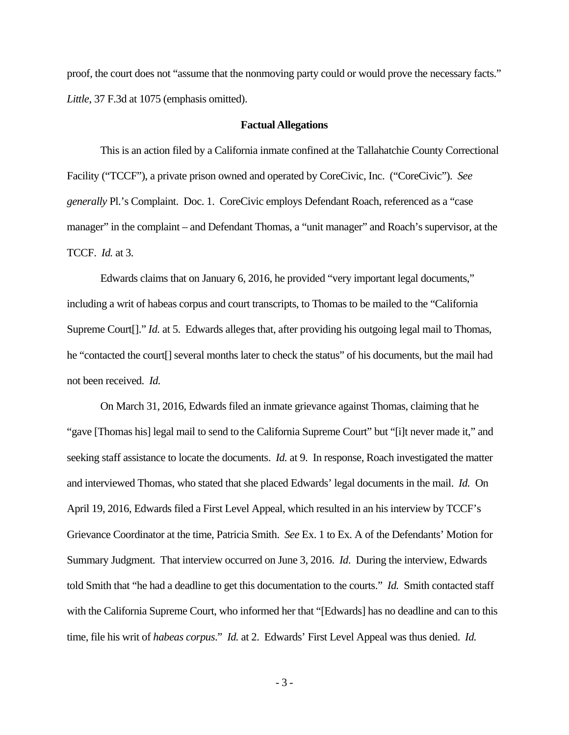proof, the court does not "assume that the nonmoving party could or would prove the necessary facts." *Little*, 37 F.3d at 1075 (emphasis omitted).

#### **Factual Allegations**

 This is an action filed by a California inmate confined at the Tallahatchie County Correctional Facility ("TCCF"), a private prison owned and operated by CoreCivic, Inc. ("CoreCivic"). *See generally* Pl.'s Complaint. Doc. 1. CoreCivic employs Defendant Roach, referenced as a "case manager" in the complaint – and Defendant Thomas, a "unit manager" and Roach's supervisor, at the TCCF. *Id.* at 3.

 Edwards claims that on January 6, 2016, he provided "very important legal documents," including a writ of habeas corpus and court transcripts, to Thomas to be mailed to the "California Supreme Court<sup>[]</sup>." *Id.* at 5. Edwards alleges that, after providing his outgoing legal mail to Thomas, he "contacted the court[] several months later to check the status" of his documents, but the mail had not been received. *Id.*

 On March 31, 2016, Edwards filed an inmate grievance against Thomas, claiming that he "gave [Thomas his] legal mail to send to the California Supreme Court" but "[i]t never made it," and seeking staff assistance to locate the documents. *Id.* at 9. In response, Roach investigated the matter and interviewed Thomas, who stated that she placed Edwards' legal documents in the mail. *Id.* On April 19, 2016, Edwards filed a First Level Appeal, which resulted in an his interview by TCCF's Grievance Coordinator at the time, Patricia Smith. *See* Ex. 1 to Ex. A of the Defendants' Motion for Summary Judgment. That interview occurred on June 3, 2016. *Id*. During the interview, Edwards told Smith that "he had a deadline to get this documentation to the courts." *Id.* Smith contacted staff with the California Supreme Court, who informed her that "[Edwards] has no deadline and can to this time, file his writ of *habeas corpus*." *Id.* at 2. Edwards' First Level Appeal was thus denied. *Id.* 

- 3 -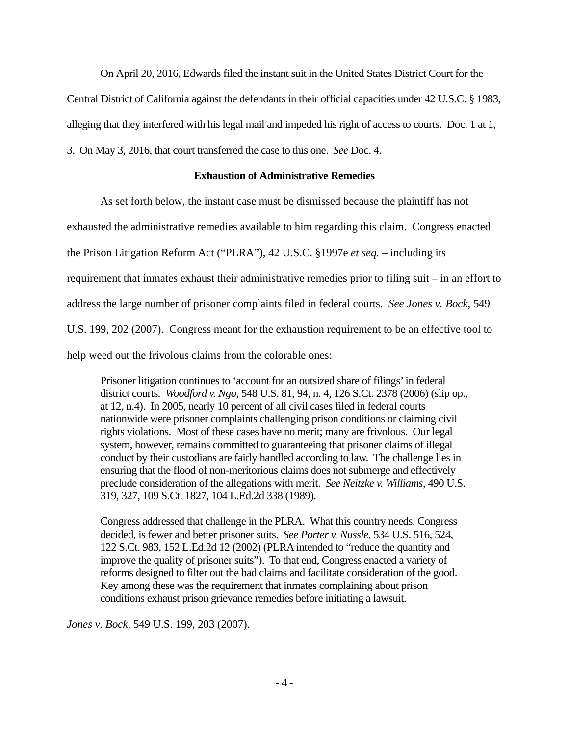On April 20, 2016, Edwards filed the instant suit in the United States District Court for the

Central District of California against the defendants in their official capacities under 42 U.S.C. § 1983,

alleging that they interfered with his legal mail and impeded his right of access to courts. Doc. 1 at 1,

3. On May 3, 2016, that court transferred the case to this one. *See* Doc. 4.

## **Exhaustion of Administrative Remedies**

As set forth below, the instant case must be dismissed because the plaintiff has not

exhausted the administrative remedies available to him regarding this claim. Congress enacted

the Prison Litigation Reform Act ("PLRA"), 42 U.S.C. §1997e *et seq.* – including its

requirement that inmates exhaust their administrative remedies prior to filing suit – in an effort to

address the large number of prisoner complaints filed in federal courts. *See Jones v. Bock*, 549

U.S. 199, 202 (2007). Congress meant for the exhaustion requirement to be an effective tool to

help weed out the frivolous claims from the colorable ones:

Prisoner litigation continues to 'account for an outsized share of filings' in federal district courts. *Woodford v. Ngo*, 548 U.S. 81, 94, n. 4, 126 S.Ct. 2378 (2006) (slip op., at 12, n.4). In 2005, nearly 10 percent of all civil cases filed in federal courts nationwide were prisoner complaints challenging prison conditions or claiming civil rights violations. Most of these cases have no merit; many are frivolous. Our legal system, however, remains committed to guaranteeing that prisoner claims of illegal conduct by their custodians are fairly handled according to law. The challenge lies in ensuring that the flood of non-meritorious claims does not submerge and effectively preclude consideration of the allegations with merit. *See Neitzke v. Williams*, 490 U.S. 319, 327, 109 S.Ct. 1827, 104 L.Ed.2d 338 (1989).

Congress addressed that challenge in the PLRA. What this country needs, Congress decided, is fewer and better prisoner suits. *See Porter v. Nussle*, 534 U.S. 516, 524, 122 S.Ct. 983, 152 L.Ed.2d 12 (2002) (PLRA intended to "reduce the quantity and improve the quality of prisoner suits"). To that end, Congress enacted a variety of reforms designed to filter out the bad claims and facilitate consideration of the good. Key among these was the requirement that inmates complaining about prison conditions exhaust prison grievance remedies before initiating a lawsuit.

*Jones v. Bock*, 549 U.S. 199, 203 (2007).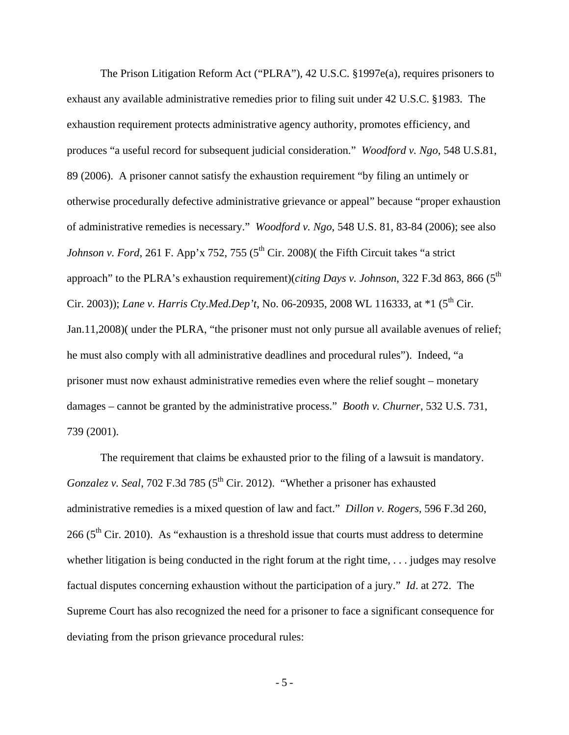The Prison Litigation Reform Act ("PLRA"), 42 U.S.C. §1997e(a), requires prisoners to exhaust any available administrative remedies prior to filing suit under 42 U.S.C. §1983. The exhaustion requirement protects administrative agency authority, promotes efficiency, and produces "a useful record for subsequent judicial consideration." *Woodford v. Ngo*, 548 U.S.81, 89 (2006). A prisoner cannot satisfy the exhaustion requirement "by filing an untimely or otherwise procedurally defective administrative grievance or appeal" because "proper exhaustion of administrative remedies is necessary." *Woodford v. Ngo*, 548 U.S. 81, 83-84 (2006); see also *Johnson v. Ford*, 261 F. App'x 752, 755 ( $5<sup>th</sup>$  Cir. 2008)( the Fifth Circuit takes "a strict approach" to the PLRA's exhaustion requirement)(*citing Days v. Johnson*, 322 F.3d 863, 866 (5<sup>th</sup>) Cir. 2003)); *Lane v. Harris Cty.Med.Dep't*, No. 06-20935, 2008 WL 116333, at \*1 (5<sup>th</sup> Cir. Jan.11,2008)( under the PLRA, "the prisoner must not only pursue all available avenues of relief; he must also comply with all administrative deadlines and procedural rules"). Indeed, "a prisoner must now exhaust administrative remedies even where the relief sought – monetary damages – cannot be granted by the administrative process." *Booth v. Churner*, 532 U.S. 731, 739 (2001).

 The requirement that claims be exhausted prior to the filing of a lawsuit is mandatory. *Gonzalez v. Seal,* 702 F.3d 785 (5<sup>th</sup> Cir. 2012). "Whether a prisoner has exhausted administrative remedies is a mixed question of law and fact." *Dillon v. Rogers*, 596 F.3d 260, 266 ( $5<sup>th</sup>$  Cir. 2010). As "exhaustion is a threshold issue that courts must address to determine whether litigation is being conducted in the right forum at the right time,  $\ldots$  judges may resolve factual disputes concerning exhaustion without the participation of a jury." *Id*. at 272. The Supreme Court has also recognized the need for a prisoner to face a significant consequence for deviating from the prison grievance procedural rules:

- 5 -